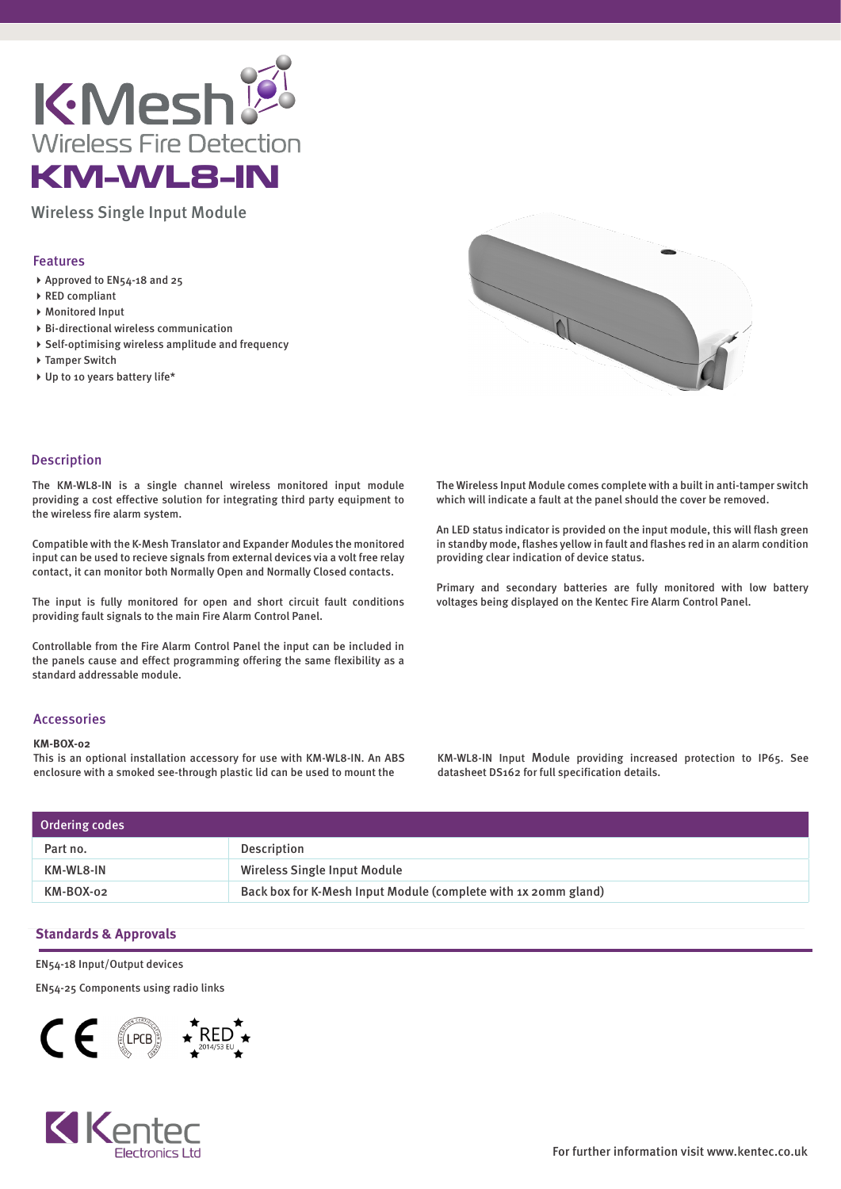

Wireless Single Input Module

## Features

- ▶ Approved to EN54-18 and 25
- RED compliant
- Monitored Input
- Bi-directional wireless communication
- $\triangleright$  Self-optimising wireless amplitude and frequency
- ▶ Tamper Switch
- ▶ Up to 10 years battery life\*



### Description

The KM-WL8-IN is a single channel wireless monitored input module providing a cost effective solution for integrating third party equipment to the wireless fire alarm system.

Compatible with the K-Mesh Translator and Expander Modules the monitored input can be used to recieve signals from external devices via a volt free relay contact, it can monitor both Normally Open and Normally Closed contacts.

The input is fully monitored for open and short circuit fault conditions providing fault signals to the main Fire Alarm Control Panel.

Controllable from the Fire Alarm Control Panel the input can be included in the panels cause and effect programming offering the same flexibility as a standard addressable module.

# Accessories

#### **KM-BOX-02**

This is an optional installation accessory for use with KM-WL8-IN. An ABS enclosure with a smoked see-through plastic lid can be used to mount the

The Wireless Input Module comes complete with a built in anti-tamper switch which will indicate a fault at the panel should the cover be removed.

An LED status indicator is provided on the input module, this will flash green in standby mode, flashes yellow in fault and flashes red in an alarm condition providing clear indication of device status.

Primary and secondary batteries are fully monitored with low battery voltages being displayed on the Kentec Fire Alarm Control Panel.

KM-WL8-IN Input Module providing increased protection to IP65. See datasheet DS162 for full specification details.

| Ordering codes |                                                                |  |
|----------------|----------------------------------------------------------------|--|
| Part no.       | Description                                                    |  |
| KM-WL8-IN      | Wireless Single Input Module                                   |  |
| KM-BOX-02      | Back box for K-Mesh Input Module (complete with 1x 20mm gland) |  |

## **Standards & Approvals**

EN54-18 Input/Output devices

EN54-25 Components using radio links